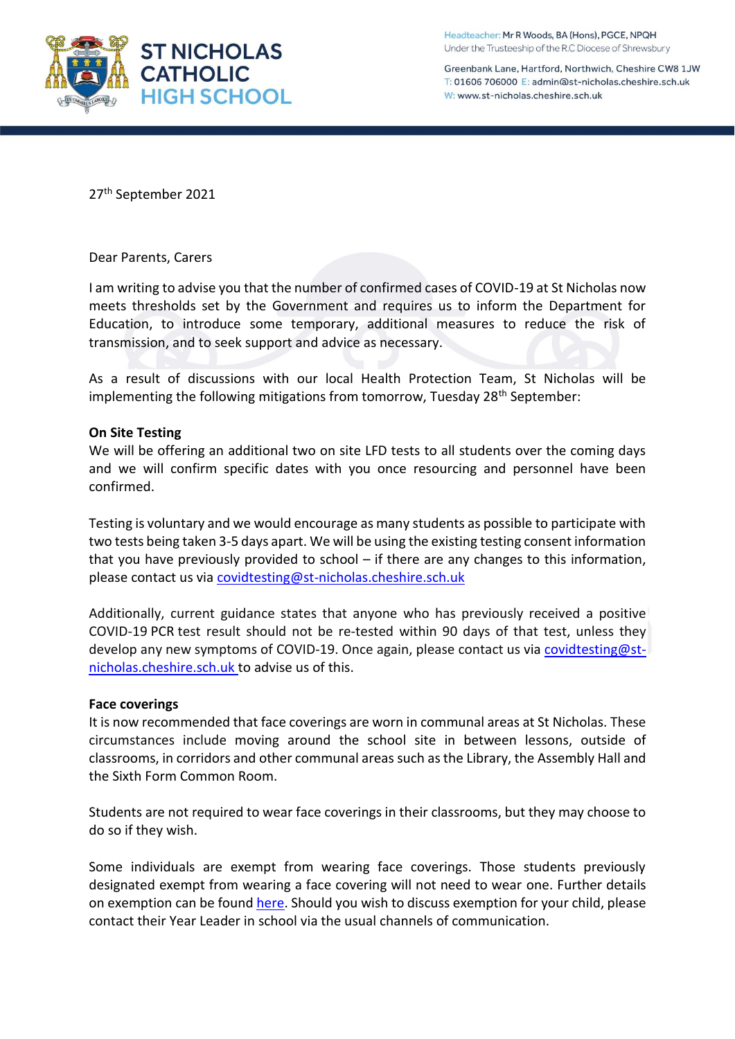

Headteacher: Mr R Woods, BA (Hons), PGCE, NPQH Under the Trusteeship of the R.C Diocese of Shrewsbury

Greenbank Lane, Hartford, Northwich, Cheshire CW8 1JW T: 01606 706000 E: admin@st-nicholas.cheshire.sch.uk W: www.st-nicholas.cheshire.sch.uk

27th September 2021

### Dear Parents, Carers

I am writing to advise you that the number of confirmed cases of COVID-19 at St Nicholas now meets thresholds set by the Government and requires us to inform the Department for Education, to introduce some temporary, additional measures to reduce the risk of transmission, and to seek support and advice as necessary.

As a result of discussions with our local Health Protection Team, St Nicholas will be implementing the following mitigations from tomorrow, Tuesday 28<sup>th</sup> September:

### **On Site Testing**

We will be offering an additional two on site LFD tests to all students over the coming days and we will confirm specific dates with you once resourcing and personnel have been confirmed.

Testing is voluntary and we would encourage as many students as possible to participate with two tests being taken 3-5 days apart. We will be using the existing testing consent information that you have previously provided to school – if there are any changes to this information, please contact us via [covidtesting@st-nicholas.cheshire.sch.uk](mailto:covidtesting@st-nicholas.cheshire.sch.uk)

Additionally, current guidance states that anyone who has previously received a positive COVID-19 PCR test result should not be re-tested within 90 days of that test, unless they develop any new symptoms of COVID-19. Once again, please contact us via [covidtesting@st](mailto:covidtesting@st-nicholas.cheshire.sch.uk)[nicholas.cheshire.sch.uk](mailto:covidtesting@st-nicholas.cheshire.sch.uk) to advise us of this.

### **Face coverings**

It is now recommended that face coverings are worn in communal areas at St Nicholas. These circumstances include moving around the school site in between lessons, outside of classrooms, in corridors and other communal areas such as the Library, the Assembly Hall and the Sixth Form Common Room.

Students are not required to wear face coverings in their classrooms, but they may choose to do so if they wish.

Some individuals are exempt from wearing face coverings. Those students previously designated exempt from wearing a face covering will not need to wear one. Further details on exemption can be found [here.](https://www.gov.uk/government/publications/face-coverings-when-to-wear-one-and-how-to-make-your-own/face-coverings-when-to-wear-one-and-how-to-make-your-own#exemptions) Should you wish to discuss exemption for your child, please contact their Year Leader in school via the usual channels of communication.